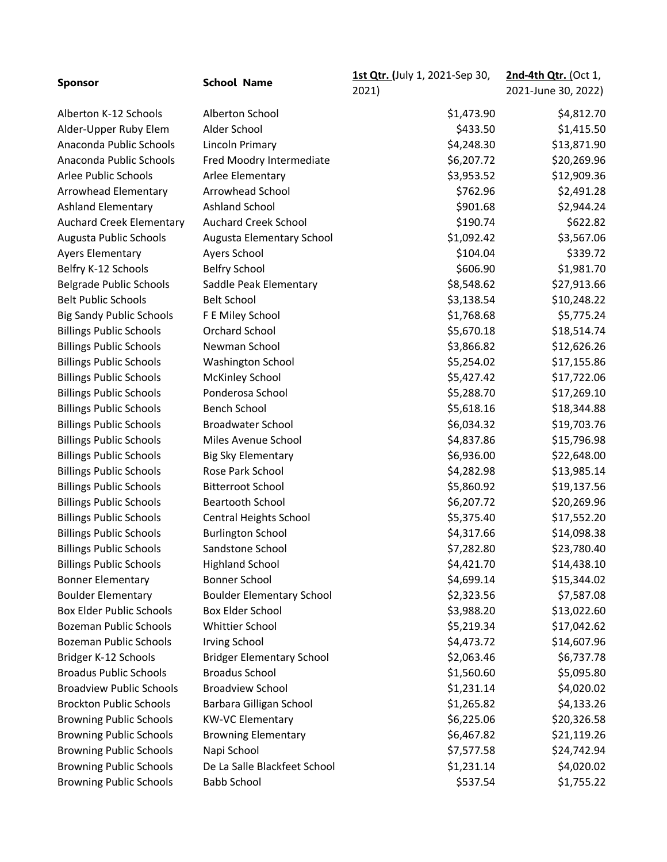| <b>Sponsor</b>                  | <b>School Name</b>               | 1st Qtr. (July 1, 2021-Sep 30, | 2nd-4th Qtr. (Oct 1, |
|---------------------------------|----------------------------------|--------------------------------|----------------------|
|                                 |                                  | 2021)                          | 2021-June 30, 2022)  |
| Alberton K-12 Schools           | Alberton School                  | \$1,473.90                     | \$4,812.70           |
| Alder-Upper Ruby Elem           | Alder School                     | \$433.50                       | \$1,415.50           |
| Anaconda Public Schools         | Lincoln Primary                  | \$4,248.30                     | \$13,871.90          |
| Anaconda Public Schools         | Fred Moodry Intermediate         | \$6,207.72                     | \$20,269.96          |
| Arlee Public Schools            | Arlee Elementary                 | \$3,953.52                     | \$12,909.36          |
| Arrowhead Elementary            | Arrowhead School                 | \$762.96                       | \$2,491.28           |
| <b>Ashland Elementary</b>       | Ashland School                   | \$901.68                       | \$2,944.24           |
| <b>Auchard Creek Elementary</b> | <b>Auchard Creek School</b>      | \$190.74                       | \$622.82             |
| Augusta Public Schools          | Augusta Elementary School        | \$1,092.42                     | \$3,567.06           |
| <b>Ayers Elementary</b>         | Ayers School                     | \$104.04                       | \$339.72             |
| Belfry K-12 Schools             | <b>Belfry School</b>             | \$606.90                       | \$1,981.70           |
| <b>Belgrade Public Schools</b>  | Saddle Peak Elementary           | \$8,548.62                     | \$27,913.66          |
| <b>Belt Public Schools</b>      | <b>Belt School</b>               | \$3,138.54                     | \$10,248.22          |
| <b>Big Sandy Public Schools</b> | F E Miley School                 | \$1,768.68                     | \$5,775.24           |
| <b>Billings Public Schools</b>  | Orchard School                   | \$5,670.18                     | \$18,514.74          |
| <b>Billings Public Schools</b>  | Newman School                    | \$3,866.82                     | \$12,626.26          |
| <b>Billings Public Schools</b>  | <b>Washington School</b>         | \$5,254.02                     | \$17,155.86          |
| <b>Billings Public Schools</b>  | <b>McKinley School</b>           | \$5,427.42                     | \$17,722.06          |
| <b>Billings Public Schools</b>  | Ponderosa School                 | \$5,288.70                     | \$17,269.10          |
| <b>Billings Public Schools</b>  | <b>Bench School</b>              | \$5,618.16                     | \$18,344.88          |
| <b>Billings Public Schools</b>  | <b>Broadwater School</b>         | \$6,034.32                     | \$19,703.76          |
| <b>Billings Public Schools</b>  | Miles Avenue School              | \$4,837.86                     | \$15,796.98          |
| <b>Billings Public Schools</b>  | <b>Big Sky Elementary</b>        | \$6,936.00                     | \$22,648.00          |
| <b>Billings Public Schools</b>  | Rose Park School                 | \$4,282.98                     | \$13,985.14          |
| <b>Billings Public Schools</b>  | <b>Bitterroot School</b>         | \$5,860.92                     | \$19,137.56          |
| <b>Billings Public Schools</b>  | <b>Beartooth School</b>          | \$6,207.72                     | \$20,269.96          |
| <b>Billings Public Schools</b>  | Central Heights School           | \$5,375.40                     | \$17,552.20          |
| <b>Billings Public Schools</b>  | <b>Burlington School</b>         | \$4,317.66                     | \$14,098.38          |
| <b>Billings Public Schools</b>  | Sandstone School                 | \$7,282.80                     | \$23,780.40          |
| <b>Billings Public Schools</b>  | <b>Highland School</b>           | \$4,421.70                     | \$14,438.10          |
| <b>Bonner Elementary</b>        | <b>Bonner School</b>             | \$4,699.14                     | \$15,344.02          |
| <b>Boulder Elementary</b>       | <b>Boulder Elementary School</b> | \$2,323.56                     | \$7,587.08           |
| <b>Box Elder Public Schools</b> | Box Elder School                 | \$3,988.20                     | \$13,022.60          |
| <b>Bozeman Public Schools</b>   | Whittier School                  | \$5,219.34                     | \$17,042.62          |
| <b>Bozeman Public Schools</b>   | <b>Irving School</b>             | \$4,473.72                     | \$14,607.96          |
| Bridger K-12 Schools            | <b>Bridger Elementary School</b> | \$2,063.46                     | \$6,737.78           |
| <b>Broadus Public Schools</b>   | <b>Broadus School</b>            | \$1,560.60                     | \$5,095.80           |
| <b>Broadview Public Schools</b> | <b>Broadview School</b>          | \$1,231.14                     | \$4,020.02           |
| <b>Brockton Public Schools</b>  | Barbara Gilligan School          | \$1,265.82                     | \$4,133.26           |
| <b>Browning Public Schools</b>  | <b>KW-VC Elementary</b>          | \$6,225.06                     | \$20,326.58          |
| <b>Browning Public Schools</b>  | <b>Browning Elementary</b>       | \$6,467.82                     | \$21,119.26          |
| <b>Browning Public Schools</b>  | Napi School                      | \$7,577.58                     | \$24,742.94          |
| <b>Browning Public Schools</b>  | De La Salle Blackfeet School     | \$1,231.14                     | \$4,020.02           |
| <b>Browning Public Schools</b>  | <b>Babb School</b>               | \$537.54                       | \$1,755.22           |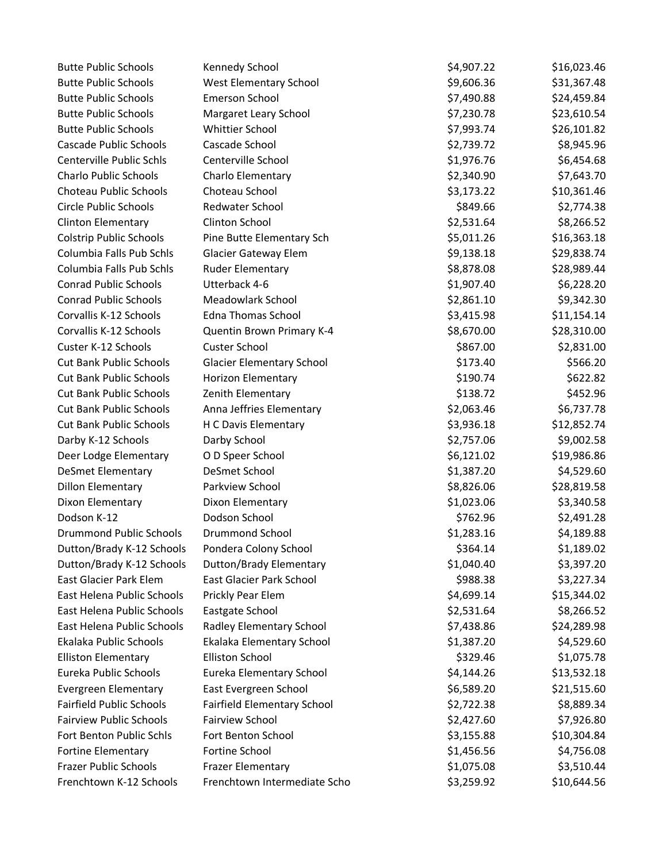| <b>Butte Public Schools</b>     | Kennedy School                     | \$4,907.22 | \$16,023.46 |
|---------------------------------|------------------------------------|------------|-------------|
| <b>Butte Public Schools</b>     | West Elementary School             | \$9,606.36 | \$31,367.48 |
| <b>Butte Public Schools</b>     | <b>Emerson School</b>              | \$7,490.88 | \$24,459.84 |
| <b>Butte Public Schools</b>     | Margaret Leary School              | \$7,230.78 | \$23,610.54 |
| <b>Butte Public Schools</b>     | <b>Whittier School</b>             | \$7,993.74 | \$26,101.82 |
| <b>Cascade Public Schools</b>   | Cascade School                     | \$2,739.72 | \$8,945.96  |
| Centerville Public Schls        | Centerville School                 | \$1,976.76 | \$6,454.68  |
| <b>Charlo Public Schools</b>    | Charlo Elementary                  | \$2,340.90 | \$7,643.70  |
| Choteau Public Schools          | Choteau School                     | \$3,173.22 | \$10,361.46 |
| <b>Circle Public Schools</b>    | Redwater School                    | \$849.66   | \$2,774.38  |
| <b>Clinton Elementary</b>       | Clinton School                     | \$2,531.64 | \$8,266.52  |
| <b>Colstrip Public Schools</b>  | Pine Butte Elementary Sch          | \$5,011.26 | \$16,363.18 |
| Columbia Falls Pub Schls        | <b>Glacier Gateway Elem</b>        | \$9,138.18 | \$29,838.74 |
| Columbia Falls Pub Schls        | <b>Ruder Elementary</b>            | \$8,878.08 | \$28,989.44 |
| <b>Conrad Public Schools</b>    | Utterback 4-6                      | \$1,907.40 | \$6,228.20  |
| <b>Conrad Public Schools</b>    | Meadowlark School                  | \$2,861.10 | \$9,342.30  |
| Corvallis K-12 Schools          | <b>Edna Thomas School</b>          | \$3,415.98 | \$11,154.14 |
| Corvallis K-12 Schools          | Quentin Brown Primary K-4          | \$8,670.00 | \$28,310.00 |
| Custer K-12 Schools             | Custer School                      | \$867.00   | \$2,831.00  |
| <b>Cut Bank Public Schools</b>  | <b>Glacier Elementary School</b>   | \$173.40   | \$566.20    |
| <b>Cut Bank Public Schools</b>  | Horizon Elementary                 | \$190.74   | \$622.82    |
| <b>Cut Bank Public Schools</b>  | Zenith Elementary                  | \$138.72   | \$452.96    |
| <b>Cut Bank Public Schools</b>  | Anna Jeffries Elementary           | \$2,063.46 | \$6,737.78  |
| <b>Cut Bank Public Schools</b>  | H C Davis Elementary               | \$3,936.18 | \$12,852.74 |
| Darby K-12 Schools              | Darby School                       | \$2,757.06 | \$9,002.58  |
| Deer Lodge Elementary           | O D Speer School                   | \$6,121.02 | \$19,986.86 |
| <b>DeSmet Elementary</b>        | DeSmet School                      | \$1,387.20 | \$4,529.60  |
| <b>Dillon Elementary</b>        | Parkview School                    | \$8,826.06 | \$28,819.58 |
| Dixon Elementary                | Dixon Elementary                   | \$1,023.06 | \$3,340.58  |
| Dodson K-12                     | Dodson School                      | \$762.96   | \$2,491.28  |
| <b>Drummond Public Schools</b>  | <b>Drummond School</b>             | \$1,283.16 | \$4,189.88  |
| Dutton/Brady K-12 Schools       | Pondera Colony School              | \$364.14   | \$1,189.02  |
| Dutton/Brady K-12 Schools       | Dutton/Brady Elementary            | \$1,040.40 | \$3,397.20  |
| <b>East Glacier Park Elem</b>   | East Glacier Park School           | \$988.38   | \$3,227.34  |
| East Helena Public Schools      | Prickly Pear Elem                  | \$4,699.14 | \$15,344.02 |
| East Helena Public Schools      | Eastgate School                    | \$2,531.64 | \$8,266.52  |
| East Helena Public Schools      | Radley Elementary School           | \$7,438.86 | \$24,289.98 |
| Ekalaka Public Schools          | Ekalaka Elementary School          | \$1,387.20 | \$4,529.60  |
| <b>Elliston Elementary</b>      | <b>Elliston School</b>             | \$329.46   | \$1,075.78  |
| Eureka Public Schools           | Eureka Elementary School           | \$4,144.26 | \$13,532.18 |
| Evergreen Elementary            | East Evergreen School              | \$6,589.20 | \$21,515.60 |
| <b>Fairfield Public Schools</b> | <b>Fairfield Elementary School</b> | \$2,722.38 | \$8,889.34  |
| <b>Fairview Public Schools</b>  | Fairview School                    | \$2,427.60 | \$7,926.80  |
| Fort Benton Public Schls        | Fort Benton School                 | \$3,155.88 | \$10,304.84 |
| Fortine Elementary              | Fortine School                     | \$1,456.56 | \$4,756.08  |
| <b>Frazer Public Schools</b>    | <b>Frazer Elementary</b>           | \$1,075.08 | \$3,510.44  |
| Frenchtown K-12 Schools         | Frenchtown Intermediate Scho       | \$3,259.92 | \$10,644.56 |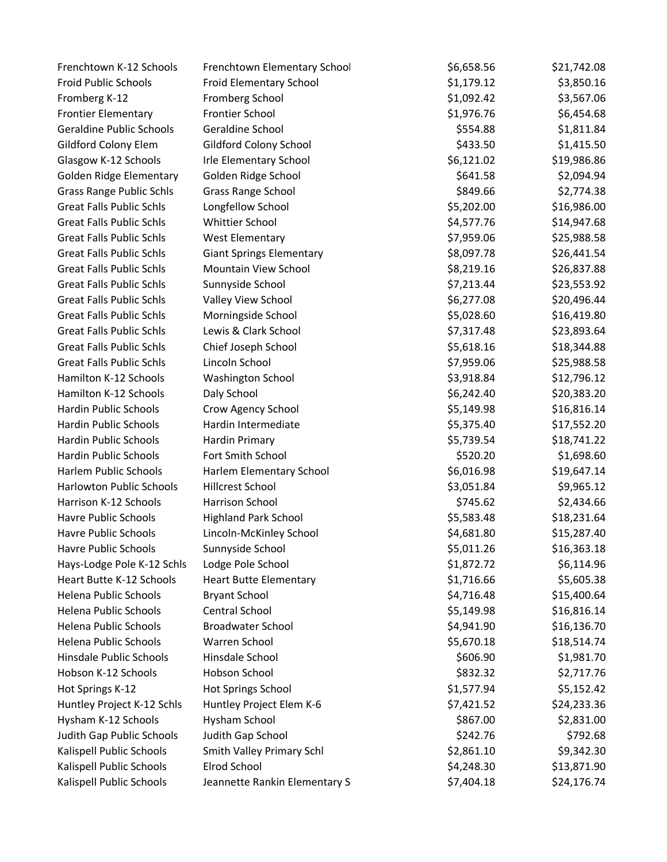| Frenchtown K-12 Schools         | Frenchtown Elementary School    | \$6,658.56 | \$21,742.08 |
|---------------------------------|---------------------------------|------------|-------------|
| Froid Public Schools            | Froid Elementary School         | \$1,179.12 | \$3,850.16  |
| Fromberg K-12                   | Fromberg School                 | \$1,092.42 | \$3,567.06  |
| <b>Frontier Elementary</b>      | Frontier School                 | \$1,976.76 | \$6,454.68  |
| <b>Geraldine Public Schools</b> | Geraldine School                | \$554.88   | \$1,811.84  |
| Gildford Colony Elem            | Gildford Colony School          | \$433.50   | \$1,415.50  |
| Glasgow K-12 Schools            | <b>Irle Elementary School</b>   | \$6,121.02 | \$19,986.86 |
| Golden Ridge Elementary         | Golden Ridge School             | \$641.58   | \$2,094.94  |
| <b>Grass Range Public Schls</b> | <b>Grass Range School</b>       | \$849.66   | \$2,774.38  |
| <b>Great Falls Public Schls</b> | Longfellow School               | \$5,202.00 | \$16,986.00 |
| <b>Great Falls Public Schls</b> | <b>Whittier School</b>          | \$4,577.76 | \$14,947.68 |
| <b>Great Falls Public Schls</b> | <b>West Elementary</b>          | \$7,959.06 | \$25,988.58 |
| <b>Great Falls Public Schls</b> | <b>Giant Springs Elementary</b> | \$8,097.78 | \$26,441.54 |
| <b>Great Falls Public Schls</b> | Mountain View School            | \$8,219.16 | \$26,837.88 |
| <b>Great Falls Public Schls</b> | Sunnyside School                | \$7,213.44 | \$23,553.92 |
| <b>Great Falls Public Schls</b> | Valley View School              | \$6,277.08 | \$20,496.44 |
| <b>Great Falls Public Schls</b> | Morningside School              | \$5,028.60 | \$16,419.80 |
| <b>Great Falls Public Schls</b> | Lewis & Clark School            | \$7,317.48 | \$23,893.64 |
| <b>Great Falls Public Schls</b> | Chief Joseph School             | \$5,618.16 | \$18,344.88 |
| <b>Great Falls Public Schls</b> | Lincoln School                  | \$7,959.06 | \$25,988.58 |
| Hamilton K-12 Schools           | <b>Washington School</b>        | \$3,918.84 | \$12,796.12 |
| Hamilton K-12 Schools           | Daly School                     | \$6,242.40 | \$20,383.20 |
| <b>Hardin Public Schools</b>    | Crow Agency School              | \$5,149.98 | \$16,816.14 |
| <b>Hardin Public Schools</b>    | Hardin Intermediate             | \$5,375.40 | \$17,552.20 |
| Hardin Public Schools           | Hardin Primary                  | \$5,739.54 | \$18,741.22 |
| Hardin Public Schools           | Fort Smith School               | \$520.20   | \$1,698.60  |
| <b>Harlem Public Schools</b>    | Harlem Elementary School        | \$6,016.98 | \$19,647.14 |
| <b>Harlowton Public Schools</b> | <b>Hillcrest School</b>         | \$3,051.84 | \$9,965.12  |
| Harrison K-12 Schools           | Harrison School                 | \$745.62   | \$2,434.66  |
| <b>Havre Public Schools</b>     | <b>Highland Park School</b>     | \$5,583.48 | \$18,231.64 |
| <b>Havre Public Schools</b>     | Lincoln-McKinley School         | \$4,681.80 | \$15,287.40 |
| Havre Public Schools            | Sunnyside School                | \$5,011.26 | \$16,363.18 |
| Hays-Lodge Pole K-12 Schls      | Lodge Pole School               | \$1,872.72 | \$6,114.96  |
| Heart Butte K-12 Schools        | <b>Heart Butte Elementary</b>   | \$1,716.66 | \$5,605.38  |
| Helena Public Schools           | <b>Bryant School</b>            | \$4,716.48 | \$15,400.64 |
| Helena Public Schools           | Central School                  | \$5,149.98 | \$16,816.14 |
| Helena Public Schools           | <b>Broadwater School</b>        | \$4,941.90 | \$16,136.70 |
| Helena Public Schools           | Warren School                   | \$5,670.18 | \$18,514.74 |
| Hinsdale Public Schools         | Hinsdale School                 | \$606.90   | \$1,981.70  |
| Hobson K-12 Schools             | Hobson School                   | \$832.32   | \$2,717.76  |
| Hot Springs K-12                | Hot Springs School              | \$1,577.94 | \$5,152.42  |
| Huntley Project K-12 Schls      | Huntley Project Elem K-6        | \$7,421.52 | \$24,233.36 |
| Hysham K-12 Schools             | Hysham School                   | \$867.00   | \$2,831.00  |
| Judith Gap Public Schools       | Judith Gap School               | \$242.76   | \$792.68    |
| Kalispell Public Schools        | Smith Valley Primary Schl       | \$2,861.10 | \$9,342.30  |
| Kalispell Public Schools        | Elrod School                    | \$4,248.30 | \$13,871.90 |
| Kalispell Public Schools        | Jeannette Rankin Elementary S   | \$7,404.18 | \$24,176.74 |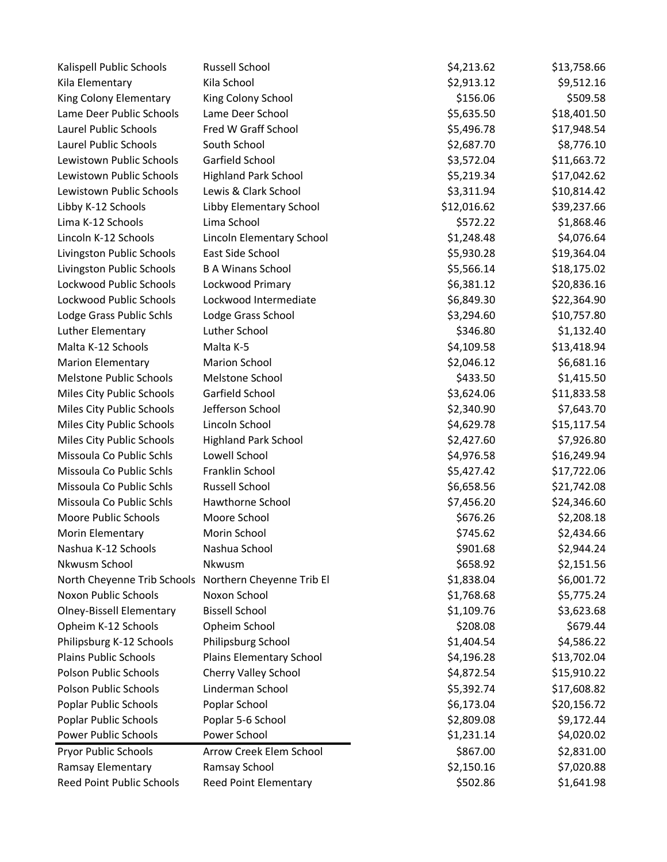| Kalispell Public Schools                              | <b>Russell School</b>        | \$4,213.62  | \$13,758.66 |
|-------------------------------------------------------|------------------------------|-------------|-------------|
| Kila Elementary                                       | Kila School                  | \$2,913.12  | \$9,512.16  |
| King Colony Elementary                                | King Colony School           | \$156.06    | \$509.58    |
| Lame Deer Public Schools                              | Lame Deer School             | \$5,635.50  | \$18,401.50 |
| Laurel Public Schools                                 | Fred W Graff School          | \$5,496.78  | \$17,948.54 |
| Laurel Public Schools                                 | South School                 | \$2,687.70  | \$8,776.10  |
| Lewistown Public Schools                              | Garfield School              | \$3,572.04  | \$11,663.72 |
| Lewistown Public Schools                              | <b>Highland Park School</b>  | \$5,219.34  | \$17,042.62 |
| Lewistown Public Schools                              | Lewis & Clark School         | \$3,311.94  | \$10,814.42 |
| Libby K-12 Schools                                    | Libby Elementary School      | \$12,016.62 | \$39,237.66 |
| Lima K-12 Schools                                     | Lima School                  | \$572.22    | \$1,868.46  |
| Lincoln K-12 Schools                                  | Lincoln Elementary School    | \$1,248.48  | \$4,076.64  |
| Livingston Public Schools                             | East Side School             | \$5,930.28  | \$19,364.04 |
| Livingston Public Schools                             | <b>B A Winans School</b>     | \$5,566.14  | \$18,175.02 |
| Lockwood Public Schools                               | Lockwood Primary             | \$6,381.12  | \$20,836.16 |
| Lockwood Public Schools                               | Lockwood Intermediate        | \$6,849.30  | \$22,364.90 |
| Lodge Grass Public Schls                              | Lodge Grass School           | \$3,294.60  | \$10,757.80 |
| Luther Elementary                                     | Luther School                | \$346.80    | \$1,132.40  |
| Malta K-12 Schools                                    | Malta K-5                    | \$4,109.58  | \$13,418.94 |
| <b>Marion Elementary</b>                              | <b>Marion School</b>         | \$2,046.12  | \$6,681.16  |
| <b>Melstone Public Schools</b>                        | Melstone School              | \$433.50    | \$1,415.50  |
| Miles City Public Schools                             | Garfield School              | \$3,624.06  | \$11,833.58 |
| Miles City Public Schools                             | Jefferson School             | \$2,340.90  | \$7,643.70  |
| Miles City Public Schools                             | Lincoln School               | \$4,629.78  | \$15,117.54 |
| Miles City Public Schools                             | <b>Highland Park School</b>  | \$2,427.60  | \$7,926.80  |
| Missoula Co Public Schls                              | Lowell School                | \$4,976.58  | \$16,249.94 |
| Missoula Co Public Schls                              | Franklin School              | \$5,427.42  | \$17,722.06 |
| Missoula Co Public Schls                              | Russell School               | \$6,658.56  | \$21,742.08 |
| Missoula Co Public Schls                              | Hawthorne School             | \$7,456.20  | \$24,346.60 |
| Moore Public Schools                                  | Moore School                 | \$676.26    | \$2,208.18  |
| Morin Elementary                                      | Morin School                 | \$745.62    | \$2,434.66  |
| Nashua K-12 Schools                                   | Nashua School                | \$901.68    | \$2,944.24  |
| Nkwusm School                                         | Nkwusm                       | \$658.92    | \$2,151.56  |
| North Cheyenne Trib Schools Northern Cheyenne Trib El |                              | \$1,838.04  | \$6,001.72  |
| Noxon Public Schools                                  | Noxon School                 | \$1,768.68  | \$5,775.24  |
| <b>Olney-Bissell Elementary</b>                       | <b>Bissell School</b>        | \$1,109.76  | \$3,623.68  |
| Opheim K-12 Schools                                   | Opheim School                | \$208.08    | \$679.44    |
| Philipsburg K-12 Schools                              | Philipsburg School           | \$1,404.54  | \$4,586.22  |
| <b>Plains Public Schools</b>                          | Plains Elementary School     | \$4,196.28  | \$13,702.04 |
| <b>Polson Public Schools</b>                          | Cherry Valley School         | \$4,872.54  | \$15,910.22 |
| <b>Polson Public Schools</b>                          | Linderman School             | \$5,392.74  | \$17,608.82 |
| Poplar Public Schools                                 | Poplar School                | \$6,173.04  | \$20,156.72 |
| Poplar Public Schools                                 | Poplar 5-6 School            | \$2,809.08  | \$9,172.44  |
| <b>Power Public Schools</b>                           | Power School                 | \$1,231.14  | \$4,020.02  |
| Pryor Public Schools                                  | Arrow Creek Elem School      | \$867.00    | \$2,831.00  |
| Ramsay Elementary                                     | Ramsay School                | \$2,150.16  | \$7,020.88  |
| Reed Point Public Schools                             | <b>Reed Point Elementary</b> | \$502.86    | \$1,641.98  |